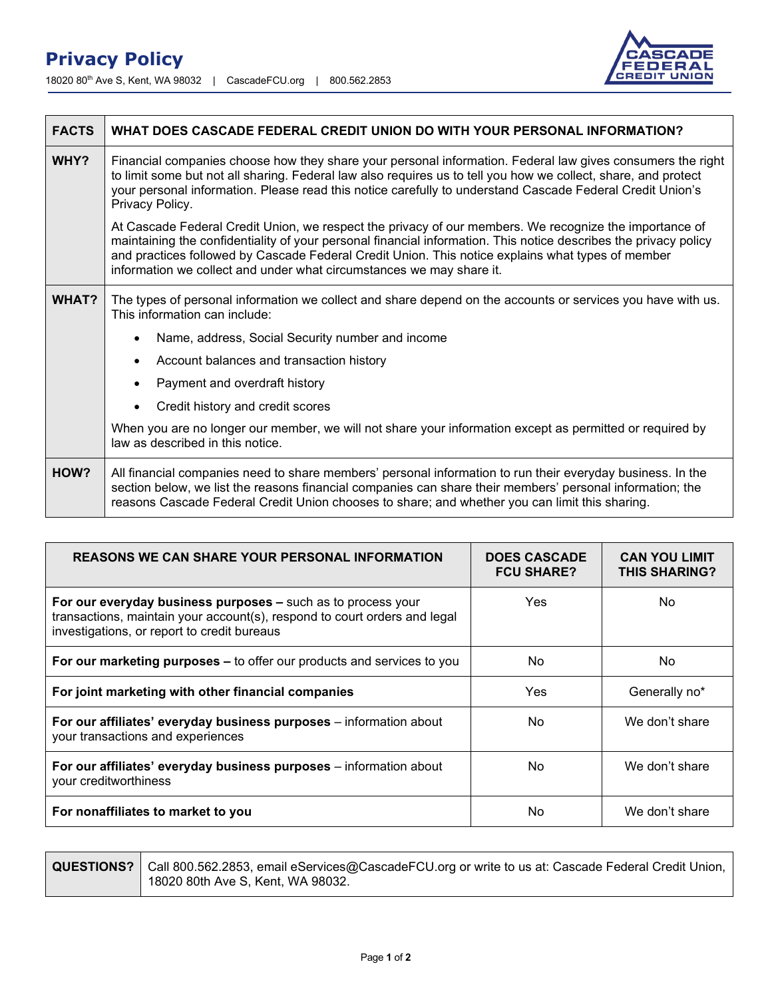## **Privacy Policy**

18020 80th Ave S, Kent, WA 98032 | CascadeFCU.org | 800.562.2853



| <b>FACTS</b> | WHAT DOES CASCADE FEDERAL CREDIT UNION DO WITH YOUR PERSONAL INFORMATION?                                                                                                                                                                                                                                                                                                                               |  |  |
|--------------|---------------------------------------------------------------------------------------------------------------------------------------------------------------------------------------------------------------------------------------------------------------------------------------------------------------------------------------------------------------------------------------------------------|--|--|
| WHY?         | Financial companies choose how they share your personal information. Federal law gives consumers the right<br>to limit some but not all sharing. Federal law also requires us to tell you how we collect, share, and protect<br>your personal information. Please read this notice carefully to understand Cascade Federal Credit Union's<br>Privacy Policy.                                            |  |  |
|              | At Cascade Federal Credit Union, we respect the privacy of our members. We recognize the importance of<br>maintaining the confidentiality of your personal financial information. This notice describes the privacy policy<br>and practices followed by Cascade Federal Credit Union. This notice explains what types of member<br>information we collect and under what circumstances we may share it. |  |  |
| WHAT?        | The types of personal information we collect and share depend on the accounts or services you have with us.<br>This information can include:                                                                                                                                                                                                                                                            |  |  |
|              | Name, address, Social Security number and income                                                                                                                                                                                                                                                                                                                                                        |  |  |
|              | Account balances and transaction history                                                                                                                                                                                                                                                                                                                                                                |  |  |
|              | Payment and overdraft history                                                                                                                                                                                                                                                                                                                                                                           |  |  |
|              | Credit history and credit scores                                                                                                                                                                                                                                                                                                                                                                        |  |  |
|              | When you are no longer our member, we will not share your information except as permitted or required by<br>law as described in this notice.                                                                                                                                                                                                                                                            |  |  |
| HOW?         | All financial companies need to share members' personal information to run their everyday business. In the<br>section below, we list the reasons financial companies can share their members' personal information; the<br>reasons Cascade Federal Credit Union chooses to share; and whether you can limit this sharing.                                                                               |  |  |

| <b>REASONS WE CAN SHARE YOUR PERSONAL INFORMATION</b>                                                                                                                                    | <b>DOES CASCADE</b><br><b>FCU SHARE?</b> | <b>CAN YOU LIMIT</b><br><b>THIS SHARING?</b> |
|------------------------------------------------------------------------------------------------------------------------------------------------------------------------------------------|------------------------------------------|----------------------------------------------|
| For our everyday business purposes - such as to process your<br>transactions, maintain your account(s), respond to court orders and legal<br>investigations, or report to credit bureaus | <b>Yes</b>                               | No.                                          |
| For our marketing purposes - to offer our products and services to you                                                                                                                   | No                                       | No.                                          |
| For joint marketing with other financial companies                                                                                                                                       | Yes                                      | Generally no*                                |
| For our affiliates' everyday business purposes - information about<br>your transactions and experiences                                                                                  | No.                                      | We don't share                               |
| For our affiliates' everyday business purposes - information about<br>your creditworthiness                                                                                              | No                                       | We don't share                               |
| For nonaffiliates to market to you                                                                                                                                                       | No                                       | We don't share                               |

**QUESTIONS?** Call 800.562.2853, email eServices@CascadeFCU.org or write to us at: Cascade Federal Credit Union, 18020 80th Ave S, Kent, WA 98032.